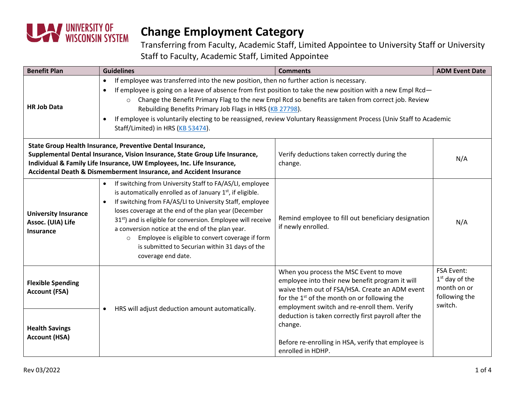

| <b>Benefit Plan</b>                                                                                                                                                                                                                                                                                                                                          | <b>Guidelines</b>                                                                                                                                                                                                                                                                                                                                                                                                                                                                                                                                  | <b>Comments</b>                                                                                                                                                                                                                                         | <b>ADM Event Date</b>                                                            |  |
|--------------------------------------------------------------------------------------------------------------------------------------------------------------------------------------------------------------------------------------------------------------------------------------------------------------------------------------------------------------|----------------------------------------------------------------------------------------------------------------------------------------------------------------------------------------------------------------------------------------------------------------------------------------------------------------------------------------------------------------------------------------------------------------------------------------------------------------------------------------------------------------------------------------------------|---------------------------------------------------------------------------------------------------------------------------------------------------------------------------------------------------------------------------------------------------------|----------------------------------------------------------------------------------|--|
| <b>HR Job Data</b>                                                                                                                                                                                                                                                                                                                                           | If employee was transferred into the new position, then no further action is necessary.<br>$\bullet$<br>If employee is going on a leave of absence from first position to take the new position with a new Empl Rcd-<br>Change the Benefit Primary Flag to the new Empl Rcd so benefits are taken from correct job. Review<br>Rebuilding Benefits Primary Job Flags in HRS (KB 27798).<br>If employee is voluntarily electing to be reassigned, review Voluntary Reassignment Process (Univ Staff to Academic<br>Staff/Limited) in HRS (KB 53474). |                                                                                                                                                                                                                                                         |                                                                                  |  |
| State Group Health Insurance, Preventive Dental Insurance,<br>Supplemental Dental Insurance, Vision Insurance, State Group Life Insurance,<br>Verify deductions taken correctly during the<br>N/A<br>Individual & Family Life Insurance, UW Employees, Inc. Life Insurance,<br>change.<br>Accidental Death & Dismemberment Insurance, and Accident Insurance |                                                                                                                                                                                                                                                                                                                                                                                                                                                                                                                                                    |                                                                                                                                                                                                                                                         |                                                                                  |  |
| <b>University Insurance</b><br>Assoc. (UIA) Life<br><b>Insurance</b>                                                                                                                                                                                                                                                                                         | If switching from University Staff to FA/AS/LI, employee<br>$\bullet$<br>is automatically enrolled as of January 1st, if eligible.<br>If switching from FA/AS/LI to University Staff, employee<br>$\bullet$<br>loses coverage at the end of the plan year (December<br>31 <sup>st</sup> ) and is eligible for conversion. Employee will receive<br>a conversion notice at the end of the plan year.<br>Employee is eligible to convert coverage if form<br>$\circ$<br>is submitted to Securian within 31 days of the<br>coverage end date.         | Remind employee to fill out beneficiary designation<br>if newly enrolled.                                                                                                                                                                               | N/A                                                                              |  |
| <b>Flexible Spending</b><br><b>Account (FSA)</b>                                                                                                                                                                                                                                                                                                             |                                                                                                                                                                                                                                                                                                                                                                                                                                                                                                                                                    | When you process the MSC Event to move<br>employee into their new benefit program it will<br>waive them out of FSA/HSA. Create an ADM event<br>for the 1 <sup>st</sup> of the month on or following the<br>employment switch and re-enroll them. Verify | <b>FSA Event:</b><br>$1st$ day of the<br>month on or<br>following the<br>switch. |  |
| <b>Health Savings</b><br><b>Account (HSA)</b>                                                                                                                                                                                                                                                                                                                | HRS will adjust deduction amount automatically.<br>$\bullet$                                                                                                                                                                                                                                                                                                                                                                                                                                                                                       | deduction is taken correctly first payroll after the<br>change.<br>Before re-enrolling in HSA, verify that employee is<br>enrolled in HDHP.                                                                                                             |                                                                                  |  |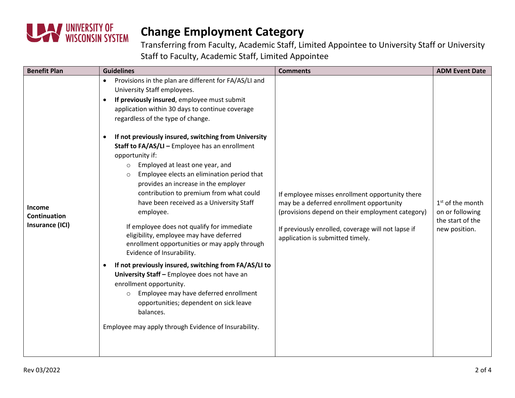

| <b>Benefit Plan</b>                       | <b>Guidelines</b>                                                                                                                                                                                                                                                                                                                                                                                                                                                                                                                                                                                                                                                                                                                                                                                                                                                                                                                                                                                                                                                                                      | <b>Comments</b>                                                                                                                                                                                                                           | <b>ADM Event Date</b>                                                      |
|-------------------------------------------|--------------------------------------------------------------------------------------------------------------------------------------------------------------------------------------------------------------------------------------------------------------------------------------------------------------------------------------------------------------------------------------------------------------------------------------------------------------------------------------------------------------------------------------------------------------------------------------------------------------------------------------------------------------------------------------------------------------------------------------------------------------------------------------------------------------------------------------------------------------------------------------------------------------------------------------------------------------------------------------------------------------------------------------------------------------------------------------------------------|-------------------------------------------------------------------------------------------------------------------------------------------------------------------------------------------------------------------------------------------|----------------------------------------------------------------------------|
| Income<br>Continuation<br>Insurance (ICI) | Provisions in the plan are different for FA/AS/LI and<br>$\bullet$<br>University Staff employees.<br>If previously insured, employee must submit<br>application within 30 days to continue coverage<br>regardless of the type of change.<br>If not previously insured, switching from University<br>Staff to FA/AS/LI - Employee has an enrollment<br>opportunity if:<br>Employed at least one year, and<br>$\circ$<br>Employee elects an elimination period that<br>$\circ$<br>provides an increase in the employer<br>contribution to premium from what could<br>have been received as a University Staff<br>employee.<br>If employee does not qualify for immediate<br>eligibility, employee may have deferred<br>enrollment opportunities or may apply through<br>Evidence of Insurability.<br>If not previously insured, switching from FA/AS/LI to<br>University Staff - Employee does not have an<br>enrollment opportunity.<br>Employee may have deferred enrollment<br>$\circ$<br>opportunities; dependent on sick leave<br>balances.<br>Employee may apply through Evidence of Insurability. | If employee misses enrollment opportunity there<br>may be a deferred enrollment opportunity<br>(provisions depend on their employment category)<br>If previously enrolled, coverage will not lapse if<br>application is submitted timely. | $1st$ of the month<br>on or following<br>the start of the<br>new position. |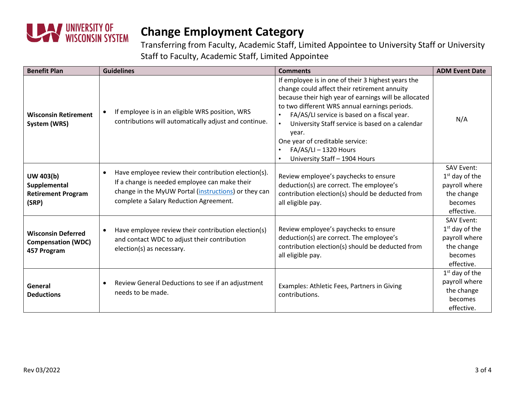

| <b>Benefit Plan</b>                                                    | <b>Guidelines</b>                                                                                                                                                                                       | <b>Comments</b>                                                                                                                                                                                                                                                                                                                                                                                                        | <b>ADM Event Date</b>                                                                         |
|------------------------------------------------------------------------|---------------------------------------------------------------------------------------------------------------------------------------------------------------------------------------------------------|------------------------------------------------------------------------------------------------------------------------------------------------------------------------------------------------------------------------------------------------------------------------------------------------------------------------------------------------------------------------------------------------------------------------|-----------------------------------------------------------------------------------------------|
| <b>Wisconsin Retirement</b><br>System (WRS)                            | If employee is in an eligible WRS position, WRS<br>contributions will automatically adjust and continue.                                                                                                | If employee is in one of their 3 highest years the<br>change could affect their retirement annuity<br>because their high year of earnings will be allocated<br>to two different WRS annual earnings periods.<br>FA/AS/LI service is based on a fiscal year.<br>University Staff service is based on a calendar<br>year.<br>One year of creditable service:<br>$FA/AS/LI - 1320$ Hours<br>University Staff - 1904 Hours | N/A                                                                                           |
| <b>UW 403(b)</b><br>Supplemental<br><b>Retirement Program</b><br>(SRP) | Have employee review their contribution election(s).<br>If a change is needed employee can make their<br>change in the MyUW Portal (instructions) or they can<br>complete a Salary Reduction Agreement. | Review employee's paychecks to ensure<br>deduction(s) are correct. The employee's<br>contribution election(s) should be deducted from<br>all eligible pay.                                                                                                                                                                                                                                                             | <b>SAV Event:</b><br>$1st$ day of the<br>payroll where<br>the change<br>becomes<br>effective. |
| <b>Wisconsin Deferred</b><br><b>Compensation (WDC)</b><br>457 Program  | Have employee review their contribution election(s)<br>and contact WDC to adjust their contribution<br>election(s) as necessary.                                                                        | Review employee's paychecks to ensure<br>deduction(s) are correct. The employee's<br>contribution election(s) should be deducted from<br>all eligible pay.                                                                                                                                                                                                                                                             | <b>SAV Event:</b><br>$1st$ day of the<br>payroll where<br>the change<br>becomes<br>effective. |
| General<br><b>Deductions</b>                                           | Review General Deductions to see if an adjustment<br>$\bullet$<br>needs to be made.                                                                                                                     | Examples: Athletic Fees, Partners in Giving<br>contributions.                                                                                                                                                                                                                                                                                                                                                          | $1st$ day of the<br>payroll where<br>the change<br>becomes<br>effective.                      |